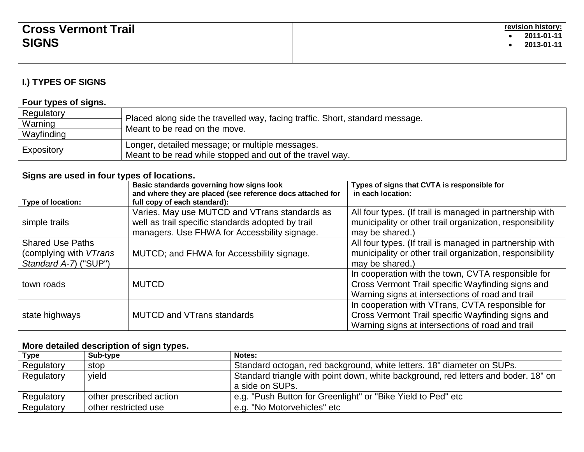| <b>Cross Vermont Trail</b> | revision history:  <br>2011-01-11 |
|----------------------------|-----------------------------------|
| <b>SIGNS</b>               | 2013-01-11                        |
|                            |                                   |

# **I.) TYPES OF SIGNS**

#### **Four types of signs.**

| Regulatory |                                                                               |  |
|------------|-------------------------------------------------------------------------------|--|
| Warning    | Placed along side the travelled way, facing traffic. Short, standard message. |  |
| Wayfinding | Meant to be read on the move.                                                 |  |
|            | Longer, detailed message; or multiple messages.                               |  |
| Expository | Meant to be read while stopped and out of the travel way.                     |  |

## **Signs are used in four types of locations.**

| Type of location:                                                          | Basic standards governing how signs look<br>and where they are placed (see reference docs attached for<br>full copy of each standard):             | Types of signs that CVTA is responsible for<br>in each location:                                                                                            |
|----------------------------------------------------------------------------|----------------------------------------------------------------------------------------------------------------------------------------------------|-------------------------------------------------------------------------------------------------------------------------------------------------------------|
| simple trails                                                              | Varies. May use MUTCD and VTrans standards as<br>well as trail specific standards adopted by trail<br>managers. Use FHWA for Accessbility signage. | All four types. (If trail is managed in partnership with<br>municipality or other trail organization, responsibility<br>may be shared.)                     |
| <b>Shared Use Paths</b><br>(complying with VTrans<br>Standard A-7) ("SUP") | MUTCD; and FHWA for Accessbility signage.                                                                                                          | All four types. (If trail is managed in partnership with<br>municipality or other trail organization, responsibility<br>may be shared.)                     |
| town roads                                                                 | <b>MUTCD</b>                                                                                                                                       | In cooperation with the town, CVTA responsible for<br>Cross Vermont Trail specific Wayfinding signs and<br>Warning signs at intersections of road and trail |
| state highways                                                             | <b>MUTCD and VTrans standards</b>                                                                                                                  | In cooperation with VTrans, CVTA responsible for<br>Cross Vermont Trail specific Wayfinding signs and<br>Warning signs at intersections of road and trail   |

## **More detailed description of sign types.**

| Type       | - - -<br>Sub-type       | Notes:                                                                                                |
|------------|-------------------------|-------------------------------------------------------------------------------------------------------|
| Regulatory | stop                    | Standard octogan, red background, white letters. 18" diameter on SUPs.                                |
| Regulatory | vield                   | Standard triangle with point down, white background, red letters and boder. 18" on<br>a side on SUPs. |
| Regulatory | other prescribed action | 'e.g. "Push Button for Greenlight" or "Bike Yield to Ped" etc                                         |
| Regulatory | other restricted use    | e.g. "No Motorvehicles" etc                                                                           |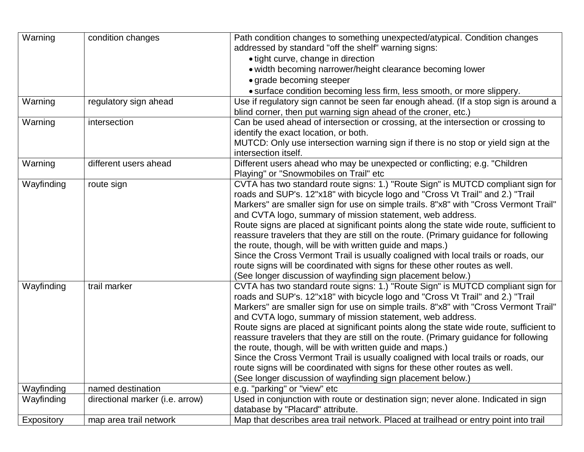| Warning    | condition changes               | Path condition changes to something unexpected/atypical. Condition changes<br>addressed by standard "off the shelf" warning signs:<br>• tight curve, change in direction |  |  |
|------------|---------------------------------|--------------------------------------------------------------------------------------------------------------------------------------------------------------------------|--|--|
|            |                                 | . width becoming narrower/height clearance becoming lower                                                                                                                |  |  |
|            |                                 | • grade becoming steeper                                                                                                                                                 |  |  |
|            |                                 | • surface condition becoming less firm, less smooth, or more slippery.                                                                                                   |  |  |
| Warning    | regulatory sign ahead           | Use if regulatory sign cannot be seen far enough ahead. (If a stop sign is around a                                                                                      |  |  |
|            |                                 | blind corner, then put warning sign ahead of the croner, etc.)                                                                                                           |  |  |
| Warning    | intersection                    | Can be used ahead of intersection or crossing, at the intersection or crossing to                                                                                        |  |  |
|            |                                 | identify the exact location, or both.                                                                                                                                    |  |  |
|            |                                 | MUTCD: Only use intersection warning sign if there is no stop or yield sign at the                                                                                       |  |  |
|            |                                 | intersection itself.                                                                                                                                                     |  |  |
| Warning    | different users ahead           | Different users ahead who may be unexpected or conflicting; e.g. "Children<br>Playing" or "Snowmobiles on Trail" etc                                                     |  |  |
| Wayfinding | route sign                      | CVTA has two standard route signs: 1.) "Route Sign" is MUTCD compliant sign for                                                                                          |  |  |
|            |                                 | roads and SUP's. 12"x18" with bicycle logo and "Cross Vt Trail" and 2.) "Trail"                                                                                          |  |  |
|            |                                 | Markers" are smaller sign for use on simple trails. 8"x8" with "Cross Vermont Trail"                                                                                     |  |  |
|            |                                 | and CVTA logo, summary of mission statement, web address.                                                                                                                |  |  |
|            |                                 | Route signs are placed at significant points along the state wide route, sufficient to                                                                                   |  |  |
|            |                                 | reassure travelers that they are still on the route. (Primary guidance for following                                                                                     |  |  |
|            |                                 | the route, though, will be with written guide and maps.)                                                                                                                 |  |  |
|            |                                 | Since the Cross Vermont Trail is usually coaligned with local trails or roads, our                                                                                       |  |  |
|            |                                 | route signs will be coordinated with signs for these other routes as well.                                                                                               |  |  |
|            |                                 | (See longer discussion of wayfinding sign placement below.)                                                                                                              |  |  |
| Wayfinding | trail marker                    | CVTA has two standard route signs: 1.) "Route Sign" is MUTCD compliant sign for                                                                                          |  |  |
|            |                                 | roads and SUP's. 12"x18" with bicycle logo and "Cross Vt Trail" and 2.) "Trail                                                                                           |  |  |
|            |                                 | Markers" are smaller sign for use on simple trails. 8"x8" with "Cross Vermont Trail"                                                                                     |  |  |
|            |                                 | and CVTA logo, summary of mission statement, web address.                                                                                                                |  |  |
|            |                                 | Route signs are placed at significant points along the state wide route, sufficient to                                                                                   |  |  |
|            |                                 | reassure travelers that they are still on the route. (Primary guidance for following                                                                                     |  |  |
|            |                                 | the route, though, will be with written guide and maps.)                                                                                                                 |  |  |
|            |                                 | Since the Cross Vermont Trail is usually coaligned with local trails or roads, our                                                                                       |  |  |
|            |                                 | route signs will be coordinated with signs for these other routes as well.                                                                                               |  |  |
|            |                                 | (See longer discussion of wayfinding sign placement below.)                                                                                                              |  |  |
| Wayfinding | named destination               | e.g. "parking" or "view" etc                                                                                                                                             |  |  |
| Wayfinding | directional marker (i.e. arrow) | Used in conjunction with route or destination sign; never alone. Indicated in sign                                                                                       |  |  |
|            |                                 | database by "Placard" attribute.                                                                                                                                         |  |  |
| Expository | map area trail network          | Map that describes area trail network. Placed at trailhead or entry point into trail                                                                                     |  |  |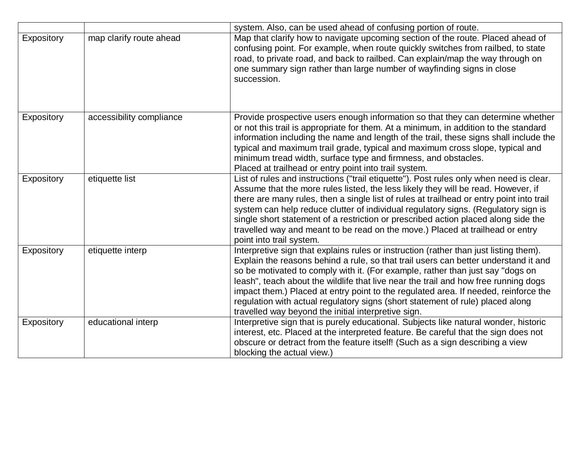|            |                          | system. Also, can be used ahead of confusing portion of route.                                                                                                                                                                                                                                                                                                                                                                                                                                                                                                                        |
|------------|--------------------------|---------------------------------------------------------------------------------------------------------------------------------------------------------------------------------------------------------------------------------------------------------------------------------------------------------------------------------------------------------------------------------------------------------------------------------------------------------------------------------------------------------------------------------------------------------------------------------------|
| Expository | map clarify route ahead  | Map that clarify how to navigate upcoming section of the route. Placed ahead of<br>confusing point. For example, when route quickly switches from railbed, to state<br>road, to private road, and back to railbed. Can explain/map the way through on<br>one summary sign rather than large number of wayfinding signs in close<br>succession.                                                                                                                                                                                                                                        |
| Expository | accessibility compliance | Provide prospective users enough information so that they can determine whether<br>or not this trail is appropriate for them. At a minimum, in addition to the standard<br>information including the name and length of the trail, these signs shall include the<br>typical and maximum trail grade, typical and maximum cross slope, typical and<br>minimum tread width, surface type and firmness, and obstacles.<br>Placed at trailhead or entry point into trail system.                                                                                                          |
| Expository | etiquette list           | List of rules and instructions ("trail etiquette"). Post rules only when need is clear.<br>Assume that the more rules listed, the less likely they will be read. However, if<br>there are many rules, then a single list of rules at trailhead or entry point into trail<br>system can help reduce clutter of individual regulatory signs. (Regulatory sign is<br>single short statement of a restriction or prescribed action placed along side the<br>travelled way and meant to be read on the move.) Placed at trailhead or entry<br>point into trail system.                     |
| Expository | etiquette interp         | Interpretive sign that explains rules or instruction (rather than just listing them).<br>Explain the reasons behind a rule, so that trail users can better understand it and<br>so be motivated to comply with it. (For example, rather than just say "dogs on<br>leash", teach about the wildlife that live near the trail and how free running dogs<br>impact them.) Placed at entry point to the regulated area. If needed, reinforce the<br>regulation with actual regulatory signs (short statement of rule) placed along<br>travelled way beyond the initial interpretive sign. |
| Expository | educational interp       | Interpretive sign that is purely educational. Subjects like natural wonder, historic<br>interest, etc. Placed at the interpreted feature. Be careful that the sign does not<br>obscure or detract from the feature itself! (Such as a sign describing a view<br>blocking the actual view.)                                                                                                                                                                                                                                                                                            |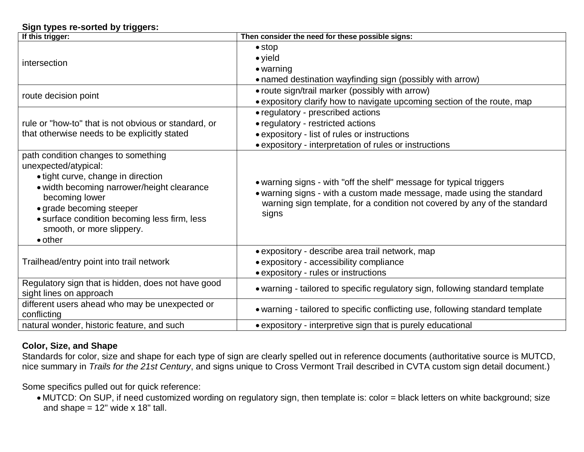#### **Sign types re-sorted by triggers:**

| If this trigger:                                                                                                                                                                                                                                                                              | Then consider the need for these possible signs:                                                                                                                                                                                   |
|-----------------------------------------------------------------------------------------------------------------------------------------------------------------------------------------------------------------------------------------------------------------------------------------------|------------------------------------------------------------------------------------------------------------------------------------------------------------------------------------------------------------------------------------|
| intersection                                                                                                                                                                                                                                                                                  | $\bullet$ stop<br>$\bullet$ yield<br>$\bullet$ warning<br>• named destination wayfinding sign (possibly with arrow)                                                                                                                |
| route decision point                                                                                                                                                                                                                                                                          | • route sign/trail marker (possibly with arrow)<br>• expository clarify how to navigate upcoming section of the route, map                                                                                                         |
| rule or "how-to" that is not obvious or standard, or<br>that otherwise needs to be explicitly stated                                                                                                                                                                                          | • regulatory - prescribed actions<br>• regulatory - restricted actions<br>• expository - list of rules or instructions<br>• expository - interpretation of rules or instructions                                                   |
| path condition changes to something<br>unexpected/atypical:<br>• tight curve, change in direction<br>• width becoming narrower/height clearance<br>becoming lower<br>• grade becoming steeper<br>• surface condition becoming less firm, less<br>smooth, or more slippery.<br>$\bullet$ other | • warning signs - with "off the shelf" message for typical triggers<br>• warning signs - with a custom made message, made using the standard<br>warning sign template, for a condition not covered by any of the standard<br>signs |
| Trailhead/entry point into trail network                                                                                                                                                                                                                                                      | · expository - describe area trail network, map<br>• expository - accessibility compliance<br>• expository - rules or instructions                                                                                                 |
| Regulatory sign that is hidden, does not have good<br>sight lines on approach                                                                                                                                                                                                                 | • warning - tailored to specific regulatory sign, following standard template                                                                                                                                                      |
| different users ahead who may be unexpected or<br>conflicting                                                                                                                                                                                                                                 | • warning - tailored to specific conflicting use, following standard template                                                                                                                                                      |
| natural wonder, historic feature, and such                                                                                                                                                                                                                                                    | • expository - interpretive sign that is purely educational                                                                                                                                                                        |

## **Color, Size, and Shape**

Standards for color, size and shape for each type of sign are clearly spelled out in reference documents (authoritative source is MUTCD, nice summary in *Trails for the 21st Century*, and signs unique to Cross Vermont Trail described in CVTA custom sign detail document.)

Some specifics pulled out for quick reference:

 MUTCD: On SUP, if need customized wording on regulatory sign, then template is: color = black letters on white background; size and shape  $= 12$ " wide x 18" tall.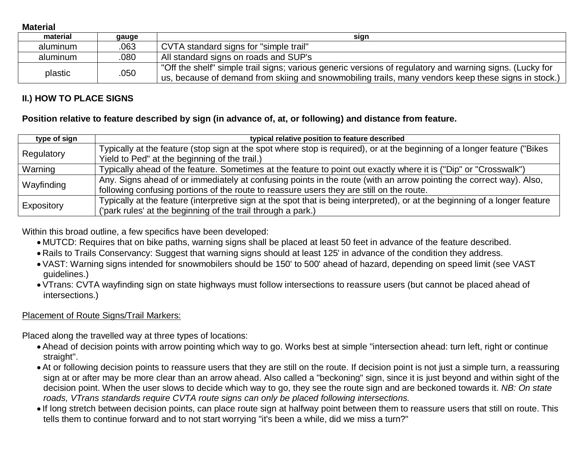**Material**

| material | gauge | sign                                                                                                                                                                                                            |
|----------|-------|-----------------------------------------------------------------------------------------------------------------------------------------------------------------------------------------------------------------|
| aluminum | .063  | CVTA standard signs for "simple trail"                                                                                                                                                                          |
| aluminum | .080  | All standard signs on roads and SUP's                                                                                                                                                                           |
| plastic  | .050  | "Off the shelf" simple trail signs; various generic versions of regulatory and warning signs. (Lucky for<br>us, because of demand from skiing and snowmobiling trails, many vendors keep these signs in stock.) |

## **II.) HOW TO PLACE SIGNS**

#### **Position relative to feature described by sign (in advance of, at, or following) and distance from feature.**

| type of sign | typical relative position to feature described                                                                              |  |
|--------------|-----------------------------------------------------------------------------------------------------------------------------|--|
|              | Typically at the feature (stop sign at the spot where stop is required), or at the beginning of a longer feature ("Bikes    |  |
| Regulatory   | Yield to Ped" at the beginning of the trail.)                                                                               |  |
| Warning      | Typically ahead of the feature. Sometimes at the feature to point out exactly where it is ("Dip" or "Crosswalk")            |  |
|              | Any. Signs ahead of or immediately at confusing points in the route (with an arrow pointing the correct way). Also,         |  |
| Wayfinding   | following confusing portions of the route to reassure users they are still on the route.                                    |  |
|              | Typically at the feature (interpretive sign at the spot that is being interpreted), or at the beginning of a longer feature |  |
| Expository   | ('park rules' at the beginning of the trail through a park.)                                                                |  |

Within this broad outline, a few specifics have been developed:

- MUTCD: Requires that on bike paths, warning signs shall be placed at least 50 feet in advance of the feature described.
- Rails to Trails Conservancy: Suggest that warning signs should at least 125' in advance of the condition they address.
- VAST: Warning signs intended for snowmobilers should be 150' to 500' ahead of hazard, depending on speed limit (see VAST guidelines.)
- VTrans: CVTA wayfinding sign on state highways must follow intersections to reassure users (but cannot be placed ahead of intersections.)

## Placement of Route Signs/Trail Markers:

Placed along the travelled way at three types of locations:

- Ahead of decision points with arrow pointing which way to go. Works best at simple "intersection ahead: turn left, right or continue straight".
- At or following decision points to reassure users that they are still on the route. If decision point is not just a simple turn, a reassuring sign at or after may be more clear than an arrow ahead. Also called a "beckoning" sign, since it is just beyond and within sight of the decision point. When the user slows to decide which way to go, they see the route sign and are beckoned towards it. *NB: On state roads, VTrans standards require CVTA route signs can only be placed following intersections.*
- If long stretch between decision points, can place route sign at halfway point between them to reassure users that still on route. This tells them to continue forward and to not start worrying "it's been a while, did we miss a turn?"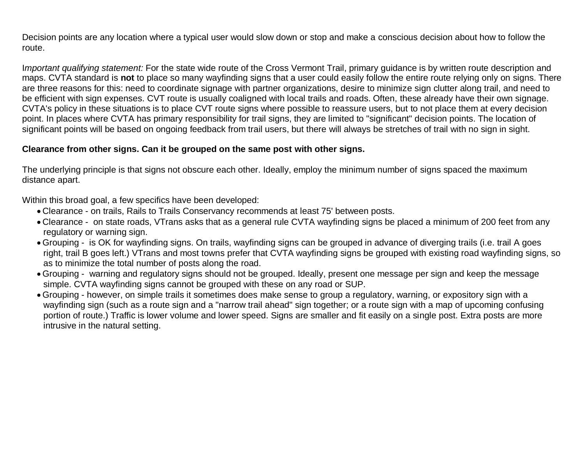Decision points are any location where a typical user would slow down or stop and make a conscious decision about how to follow the route.

I*mportant qualifying statement:* For the state wide route of the Cross Vermont Trail, primary guidance is by written route description and maps. CVTA standard is **not** to place so many wayfinding signs that a user could easily follow the entire route relying only on signs. There are three reasons for this: need to coordinate signage with partner organizations, desire to minimize sign clutter along trail, and need to be efficient with sign expenses. CVT route is usually coaligned with local trails and roads. Often, these already have their own signage. CVTA's policy in these situations is to place CVT route signs where possible to reassure users, but to not place them at every decision point. In places where CVTA has primary responsibility for trail signs, they are limited to "significant" decision points. The location of significant points will be based on ongoing feedback from trail users, but there will always be stretches of trail with no sign in sight.

#### **Clearance from other signs. Can it be grouped on the same post with other signs.**

The underlying principle is that signs not obscure each other. Ideally, employ the minimum number of signs spaced the maximum distance apart.

Within this broad goal, a few specifics have been developed:

- Clearance on trails, Rails to Trails Conservancy recommends at least 75' between posts.
- Clearance on state roads, VTrans asks that as a general rule CVTA wayfinding signs be placed a minimum of 200 feet from any regulatory or warning sign.
- Grouping is OK for wayfinding signs. On trails, wayfinding signs can be grouped in advance of diverging trails (i.e. trail A goes right, trail B goes left.) VTrans and most towns prefer that CVTA wayfinding signs be grouped with existing road wayfinding signs, so as to minimize the total number of posts along the road.
- Grouping warning and regulatory signs should not be grouped. Ideally, present one message per sign and keep the message simple. CVTA wayfinding signs cannot be grouped with these on any road or SUP.
- Grouping however, on simple trails it sometimes does make sense to group a regulatory, warning, or expository sign with a wayfinding sign (such as a route sign and a "narrow trail ahead" sign together; or a route sign with a map of upcoming confusing portion of route.) Traffic is lower volume and lower speed. Signs are smaller and fit easily on a single post. Extra posts are more intrusive in the natural setting.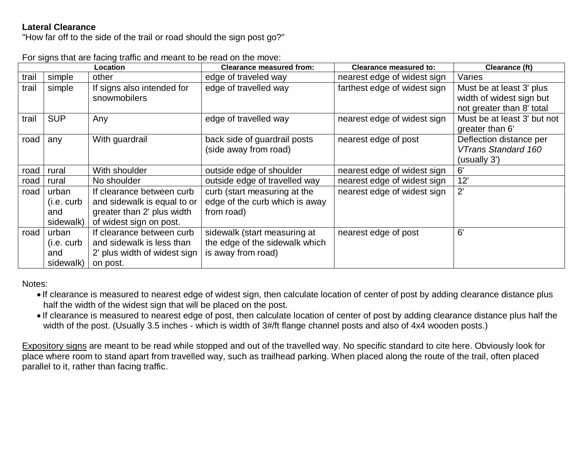## **Lateral Clearance**

"How far off to the side of the trail or road should the sign post go?"

|       |            | Location                     | <b>Clearance measured from:</b> | <b>Clearance measured to:</b> | Clearance (ft)              |
|-------|------------|------------------------------|---------------------------------|-------------------------------|-----------------------------|
| trail | simple     | other                        | edge of traveled way            | nearest edge of widest sign   | Varies                      |
| trail | simple     | If signs also intended for   | edge of travelled way           | farthest edge of widest sign  | Must be at least 3' plus    |
|       |            | snowmobilers                 |                                 |                               | width of widest sign but    |
|       |            |                              |                                 |                               | not greater than 8' total   |
| trail | <b>SUP</b> | Any                          | edge of travelled way           | nearest edge of widest sign   | Must be at least 3' but not |
|       |            |                              |                                 |                               | greater than 6'             |
| road  | any        | With guardrail               | back side of guardrail posts    | nearest edge of post          | Deflection distance per     |
|       |            |                              | (side away from road)           |                               | VTrans Standard 160         |
|       |            |                              |                                 |                               | (usually 3')                |
| road  | rural      | With shoulder                | outside edge of shoulder        | nearest edge of widest sign   | 6'                          |
| road  | rural      | No shoulder                  | outside edge of travelled way   | nearest edge of widest sign   | 12'                         |
| road  | urban      | If clearance between curb    | curb (start measuring at the    | nearest edge of widest sign   | $2^{\prime}$                |
|       | (i.e. curb | and sidewalk is equal to or  | edge of the curb which is away  |                               |                             |
|       | and        | greater than 2' plus width   | from road)                      |                               |                             |
|       | sidewalk)  | of widest sign on post.      |                                 |                               |                             |
| road  | urban      | If clearance between curb    | sidewalk (start measuring at    | nearest edge of post          | 6'                          |
|       | (i.e. curb | and sidewalk is less than    | the edge of the sidewalk which  |                               |                             |
|       | and        | 2' plus width of widest sign | is away from road)              |                               |                             |
|       | sidewalk)  | on post.                     |                                 |                               |                             |

For signs that are facing traffic and meant to be read on the move:

Notes:

- If clearance is measured to nearest edge of widest sign, then calculate location of center of post by adding clearance distance plus half the width of the widest sign that will be placed on the post.
- If clearance is measured to nearest edge of post, then calculate location of center of post by adding clearance distance plus half the width of the post. (Usually 3.5 inches - which is width of 3#/ft flange channel posts and also of 4x4 wooden posts.)

Expository signs are meant to be read while stopped and out of the travelled way. No specific standard to cite here. Obviously look for place where room to stand apart from travelled way, such as trailhead parking. When placed along the route of the trail, often placed parallel to it, rather than facing traffic.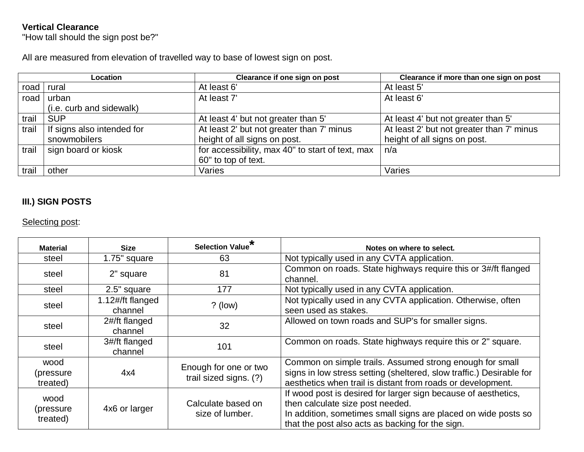## **Vertical Clearance**

"How tall should the sign post be?"

All are measured from elevation of travelled way to base of lowest sign on post.

|             | Location                           | Clearance if one sign on post                    | Clearance if more than one sign on post   |
|-------------|------------------------------------|--------------------------------------------------|-------------------------------------------|
| road rural  |                                    | At least 6'                                      | At least 5'                               |
|             | road urban                         | At least 7'                                      | At least 6'                               |
|             | (i.e. curb and sidewalk)           |                                                  |                                           |
| trail   SUP |                                    | At least 4' but not greater than 5'              | At least 4' but not greater than 5'       |
|             | trail   If signs also intended for | At least 2' but not greater than 7' minus        | At least 2' but not greater than 7' minus |
|             | snowmobilers                       | height of all signs on post.                     | height of all signs on post.              |
|             | trail sign board or kiosk          | for accessibility, max 40" to start of text, max | n/a                                       |
|             |                                    | 60" to top of text.                              |                                           |
| trail       | other                              | Varies                                           | Varies                                    |

## **III.) SIGN POSTS**

## Selecting post:

| <b>Material</b>               | <b>Size</b>                 | <b>Selection Value</b>                          | Notes on where to select.                                                                                                                                                                                                |
|-------------------------------|-----------------------------|-------------------------------------------------|--------------------------------------------------------------------------------------------------------------------------------------------------------------------------------------------------------------------------|
| steel                         | 1.75" square                | 63                                              | Not typically used in any CVTA application.                                                                                                                                                                              |
| steel                         | 2" square                   | 81                                              | Common on roads. State highways require this or 3#/ft flanged<br>channel.                                                                                                                                                |
| steel                         | 2.5" square                 | 177                                             | Not typically used in any CVTA application.                                                                                                                                                                              |
| steel                         | 1.12#/ft flanged<br>channel | $?$ (low)                                       | Not typically used in any CVTA application. Otherwise, often<br>seen used as stakes.                                                                                                                                     |
| steel                         | 2#/ft flanged<br>channel    | 32                                              | Allowed on town roads and SUP's for smaller signs.                                                                                                                                                                       |
| steel                         | 3#/ft flanged<br>channel    | 101                                             | Common on roads. State highways require this or 2" square.                                                                                                                                                               |
| wood<br>(pressure<br>treated) | 4x4                         | Enough for one or two<br>trail sized signs. (?) | Common on simple trails. Assumed strong enough for small<br>signs in low stress setting (sheltered, slow traffic.) Desirable for<br>aesthetics when trail is distant from roads or development.                          |
| wood<br>(pressure<br>treated) | 4x6 or larger               | Calculate based on<br>size of lumber.           | If wood post is desired for larger sign because of aesthetics,<br>then calculate size post needed.<br>In addition, sometimes small signs are placed on wide posts so<br>that the post also acts as backing for the sign. |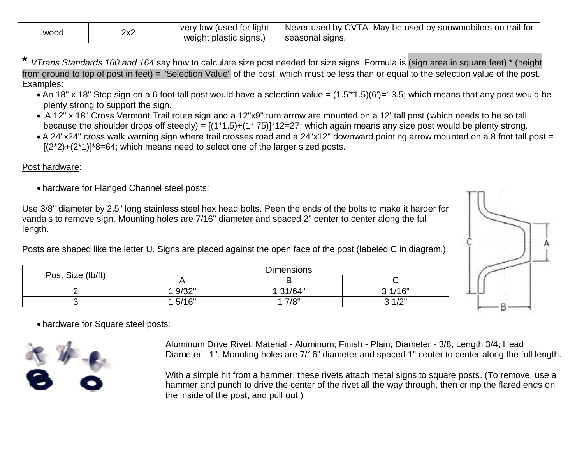| <b>WOOG</b> | つっつ<br>∠∧∠ | used for light)<br>verv<br>low<br>weight plastic signs.) | I Never used by CVTA.<br>. May be used by snowmobilers on trail for<br>seasonal<br>signs. |
|-------------|------------|----------------------------------------------------------|-------------------------------------------------------------------------------------------|
|-------------|------------|----------------------------------------------------------|-------------------------------------------------------------------------------------------|

- **\*** *VTrans Standards 160 and 164* say how to calculate size post needed for size signs. Formula is (sign area in square feet) \* (height from ground to top of post in feet) = "Selection Value" of the post, which must be less than or equal to the selection value of the post. Examples:
	- An 18" x 18" Stop sign on a 6 foot tall post would have a selection value =  $(1.5^*1.5)(6')=13.5$ ; which means that any post would be plenty strong to support the sign.
	- A 12" x 18" Cross Vermont Trail route sign and a 12"x9" turn arrow are mounted on a 12' tall post (which needs to be so tall because the shoulder drops off steeply) =  $[(1*1.5)+(1*.75)]*12=27$ ; which again means any size post would be plenty strong.
	- A 24"x24" cross walk warning sign where trail crosses road and a 24"x12" downward pointing arrow mounted on a 8 foot tall post =  $[(2<sup>*</sup>2)+(2<sup>*</sup>1)]<sup>*</sup>8=64$ ; which means need to select one of the larger sized posts.

#### Post hardware:

hardware for Flanged Channel steel posts:

Use 3/8" diameter by 2.5" long stainless steel hex head bolts. Peen the ends of the bolts to make it harder for vandals to remove sign. Mounting holes are 7/16" diameter and spaced 2" center to center along the full length.

Posts are shaped like the letter U. Signs are placed against the open face of the post (labeled C in diagram.)

| Post Size (lb/ft) | <b>Dimensions</b> |          |        |
|-------------------|-------------------|----------|--------|
|                   |                   |          |        |
|                   | 1 9/32"           | 1 31/64" | 31/16" |
|                   | 15/16"            | 7/8"     | 2.1/2" |



hardware for Square steel posts:



Aluminum Drive Rivet. Material - Aluminum; Finish - Plain; Diameter - 3/8; Length 3/4; Head Diameter - 1". Mounting holes are 7/16" diameter and spaced 1" center to center along the full length.

With a simple hit from a hammer, these rivets attach metal signs to square posts. (To remove, use a hammer and punch to drive the center of the rivet all the way through, then crimp the flared ends on the inside of the post, and pull out.)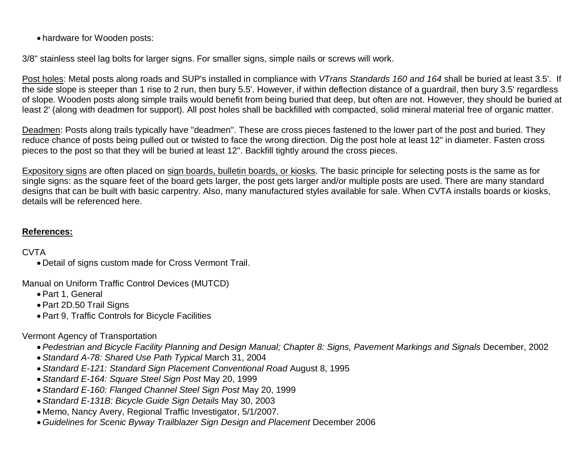hardware for Wooden posts:

3/8" stainless steel lag bolts for larger signs. For smaller signs, simple nails or screws will work.

Post holes: Metal posts along roads and SUP's installed in compliance with *VTrans Standards 160 and 164* shall be buried at least 3.5'. If the side slope is steeper than 1 rise to 2 run, then bury 5.5'. However, if within deflection distance of a guardrail, then bury 3.5' regardless of slope. Wooden posts along simple trails would benefit from being buried that deep, but often are not. However, they should be buried at least 2' (along with deadmen for support). All post holes shall be backfilled with compacted, solid mineral material free of organic matter.

Deadmen: Posts along trails typically have "deadmen". These are cross pieces fastened to the lower part of the post and buried. They reduce chance of posts being pulled out or twisted to face the wrong direction. Dig the post hole at least 12" in diameter. Fasten cross pieces to the post so that they will be buried at least 12". Backfill tightly around the cross pieces.

Expository signs are often placed on sign boards, bulletin boards, or kiosks. The basic principle for selecting posts is the same as for single signs: as the square feet of the board gets larger, the post gets larger and/or multiple posts are used. There are many standard designs that can be built with basic carpentry. Also, many manufactured styles available for sale. When CVTA installs boards or kiosks, details will be referenced here.

## **References:**

## CVTA

Detail of signs custom made for Cross Vermont Trail.

Manual on Uniform Traffic Control Devices (MUTCD)

- Part 1, General
- Part 2D.50 Trail Signs
- Part 9, Traffic Controls for Bicycle Facilities

## Vermont Agency of Transportation

- *Pedestrian and Bicycle Facility Planning and Design Manual; Chapter 8: Signs, Pavement Markings and Signals* December, 2002
- *Standard A-78: Shared Use Path Typical* March 31, 2004
- *Standard E-121: Standard Sign Placement Conventional Road* August 8, 1995
- *Standard E-164: Square Steel Sign Post* May 20, 1999
- *Standard E-160: Flanged Channel Steel Sign Post* May 20, 1999
- *Standard E-131B: Bicycle Guide Sign Details* May 30, 2003
- Memo, Nancy Avery, Regional Traffic Investigator, 5/1/2007.
- *Guidelines for Scenic Byway Trailblazer Sign Design and Placement* December 2006